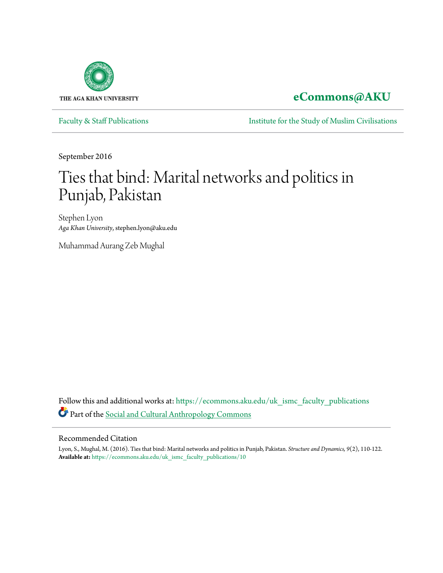

# **[eCommons@AKU](https://ecommons.aku.edu/?utm_source=ecommons.aku.edu%2Fuk_ismc_faculty_publications%2F10&utm_medium=PDF&utm_campaign=PDFCoverPages)**

[Faculty & Staff Publications](https://ecommons.aku.edu/uk_ismc_faculty_publications?utm_source=ecommons.aku.edu%2Fuk_ismc_faculty_publications%2F10&utm_medium=PDF&utm_campaign=PDFCoverPages) **[Institute for the Study of Muslim Civilisations](https://ecommons.aku.edu/uk_ismc?utm_source=ecommons.aku.edu%2Fuk_ismc_faculty_publications%2F10&utm_medium=PDF&utm_campaign=PDFCoverPages)** 

September 2016

# Ties that bind: Marital networks and politics in Punjab, Pakistan

Stephen Lyon *Aga Khan University*, stephen.lyon@aku.edu

Muhammad Aurang Zeb Mughal

Follow this and additional works at: [https://ecommons.aku.edu/uk\\_ismc\\_faculty\\_publications](https://ecommons.aku.edu/uk_ismc_faculty_publications?utm_source=ecommons.aku.edu%2Fuk_ismc_faculty_publications%2F10&utm_medium=PDF&utm_campaign=PDFCoverPages) Part of the [Social and Cultural Anthropology Commons](http://network.bepress.com/hgg/discipline/323?utm_source=ecommons.aku.edu%2Fuk_ismc_faculty_publications%2F10&utm_medium=PDF&utm_campaign=PDFCoverPages)

#### Recommended Citation

Lyon, S., Mughal, M. (2016). Ties that bind: Marital networks and politics in Punjab, Pakistan. *Structure and Dynamics, 9*(2), 110-122. **Available at:** [https://ecommons.aku.edu/uk\\_ismc\\_faculty\\_publications/10](https://ecommons.aku.edu/uk_ismc_faculty_publications/10)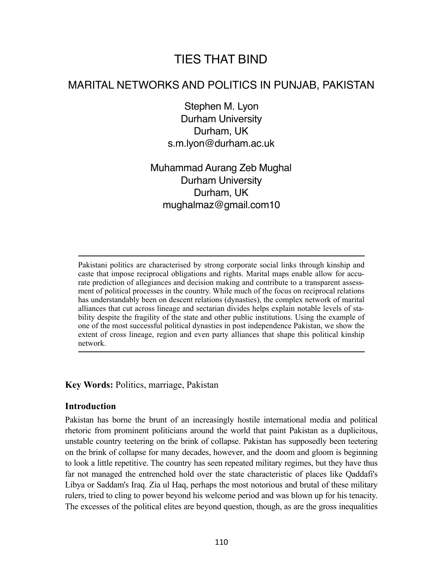# TIES THAT BIND

# MARITAL NETWORKS AND POLITICS IN PUNJAB, PAKISTAN

Stephen M. Lyon Durham University Durham, UK s.m.lyon@durham.ac.uk

Muhammad Aurang Zeb Mughal Durham University Durham, UK mughalmaz@gmail.com10

Pakistani politics are characterised by strong corporate social links through kinship and caste that impose reciprocal obligations and rights. Marital maps enable allow for accurate prediction of allegiances and decision making and contribute to a transparent assessment of political processes in the country. While much of the focus on reciprocal relations has understandably been on descent relations (dynasties), the complex network of marital alliances that cut across lineage and sectarian divides helps explain notable levels of stability despite the fragility of the state and other public institutions. Using the example of one of the most successful political dynasties in post independence Pakistan, we show the extent of cross lineage, region and even party alliances that shape this political kinship network.

# **Key Words:** Politics, marriage, Pakistan

# **Introduction**

Pakistan has borne the brunt of an increasingly hostile international media and political rhetoric from prominent politicians around the world that paint Pakistan as a duplicitous, unstable country teetering on the brink of collapse. Pakistan has supposedly been teetering on the brink of collapse for many decades, however, and the doom and gloom is beginning to look a little repetitive. The country has seen repeated military regimes, but they have thus far not managed the entrenched hold over the state characteristic of places like Qaddafi's Libya or Saddam's Iraq. Zia ul Haq, perhaps the most notorious and brutal of these military rulers, tried to cling to power beyond his welcome period and was blown up for his tenacity. The excesses of the political elites are beyond question, though, as are the gross inequalities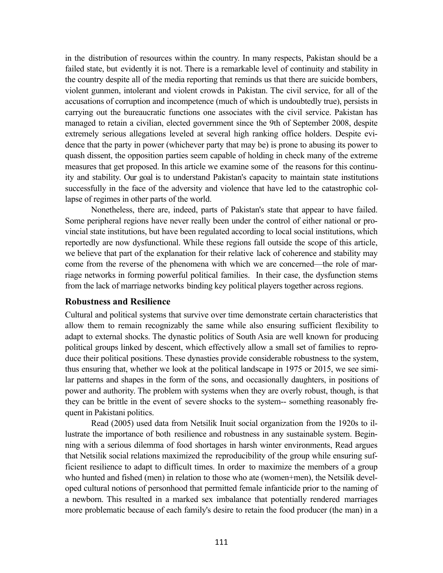in the distribution of resources within the country. In many respects, Pakistan should be a failed state, but evidently it is not. There is a remarkable level of continuity and stability in the country despite all of the media reporting that reminds us that there are suicide bombers, violent gunmen, intolerant and violent crowds in Pakistan. The civil service, for all of the accusations of corruption and incompetence (much of which is undoubtedly true), persists in carrying out the bureaucratic functions one associates with the civil service. Pakistan has managed to retain a civilian, elected government since the 9th of September 2008, despite extremely serious allegations leveled at several high ranking office holders. Despite evidence that the party in power (whichever party that may be) is prone to abusing its power to quash dissent, the opposition parties seem capable of holding in check many of the extreme measures that get proposed. In this article we examine some of the reasons for this continuity and stability. Our goal is to understand Pakistan's capacity to maintain state institutions successfully in the face of the adversity and violence that have led to the catastrophic collapse of regimes in other parts of the world.

Nonetheless, there are, indeed, parts of Pakistan's state that appear to have failed. Some peripheral regions have never really been under the control of either national or provincial state institutions, but have been regulated according to local social institutions, which reportedly are now dysfunctional. While these regions fall outside the scope of this article, we believe that part of the explanation for their relative lack of coherence and stability may come from the reverse of the phenomena with which we are concerned—the role of marriage networks in forming powerful political families. In their case, the dysfunction stems from the lack of marriage networks binding key political players together across regions.

# **Robustness and Resilience**

Cultural and political systems that survive over time demonstrate certain characteristics that allow them to remain recognizably the same while also ensuring sufficient flexibility to adapt to external shocks. The dynastic politics of South Asia are well known for producing political groups linked by descent, which effectively allow a small set of families to reproduce their political positions. These dynasties provide considerable robustness to the system, thus ensuring that, whether we look at the political landscape in 1975 or 2015, we see similar patterns and shapes in the form of the sons, and occasionally daughters, in positions of power and authority. The problem with systems when they are overly robust, though, is that they can be brittle in the event of severe shocks to the system-- something reasonably frequent in Pakistani politics.

Read (2005) used data from Netsilik Inuit social organization from the 1920s to illustrate the importance of both resilience and robustness in any sustainable system. Beginning with a serious dilemma of food shortages in harsh winter environments, Read argues that Netsilik social relations maximized the reproducibility of the group while ensuring sufficient resilience to adapt to difficult times. In order to maximize the members of a group who hunted and fished (men) in relation to those who ate (women+men), the Netsilik developed cultural notions of personhood that permitted female infanticide prior to the naming of a newborn. This resulted in a marked sex imbalance that potentially rendered marriages more problematic because of each family's desire to retain the food producer (the man) in a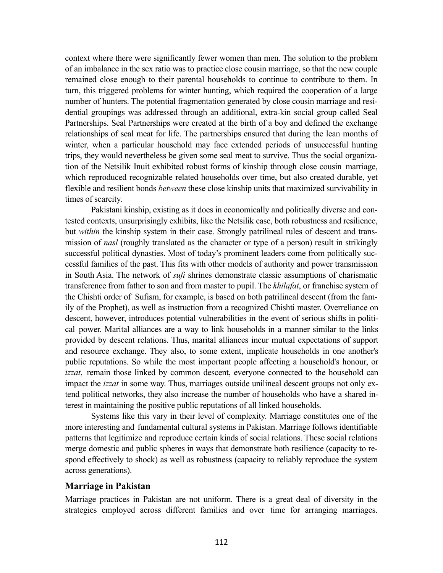context where there were significantly fewer women than men. The solution to the problem of an imbalance in the sex ratio was to practice close cousin marriage, so that the new couple remained close enough to their parental households to continue to contribute to them. In turn, this triggered problems for winter hunting, which required the cooperation of a large number of hunters. The potential fragmentation generated by close cousin marriage and residential groupings was addressed through an additional, extra-kin social group called Seal Partnerships. Seal Partnerships were created at the birth of a boy and defined the exchange relationships of seal meat for life. The partnerships ensured that during the lean months of winter, when a particular household may face extended periods of unsuccessful hunting trips, they would nevertheless be given some seal meat to survive. Thus the social organization of the Netsilik Inuit exhibited robust forms of kinship through close cousin marriage, which reproduced recognizable related households over time, but also created durable, yet flexible and resilient bonds *between* these close kinship units that maximized survivability in times of scarcity.

Pakistani kinship, existing as it does in economically and politically diverse and contested contexts, unsurprisingly exhibits, like the Netsilik case, both robustness and resilience, but *within* the kinship system in their case. Strongly patrilineal rules of descent and transmission of *nasl* (roughly translated as the character or type of a person) result in strikingly successful political dynasties. Most of today's prominent leaders come from politically successful families of the past. This fits with other models of authority and power transmission in South Asia. The network of *sufi* shrines demonstrate classic assumptions of charismatic transference from father to son and from master to pupil. The *khilafat*, or franchise system of the Chishti order of Sufism, for example, is based on both patrilineal descent (from the family of the Prophet), as well as instruction from a recognized Chishti master. Overreliance on descent, however, introduces potential vulnerabilities in the event of serious shifts in political power. Marital alliances are a way to link households in a manner similar to the links provided by descent relations. Thus, marital alliances incur mutual expectations of support and resource exchange. They also, to some extent, implicate households in one another's public reputations. So while the most important people affecting a household's honour, or *izzat*, remain those linked by common descent, everyone connected to the household can impact the *izzat* in some way. Thus, marriages outside unilineal descent groups not only extend political networks, they also increase the number of households who have a shared interest in maintaining the positive public reputations of all linked households.

Systems like this vary in their level of complexity. Marriage constitutes one of the more interesting and fundamental cultural systems in Pakistan. Marriage follows identifiable patterns that legitimize and reproduce certain kinds of social relations. These social relations merge domestic and public spheres in ways that demonstrate both resilience (capacity to respond effectively to shock) as well as robustness (capacity to reliably reproduce the system across generations).

#### **Marriage in Pakistan**

Marriage practices in Pakistan are not uniform. There is a great deal of diversity in the strategies employed across different families and over time for arranging marriages.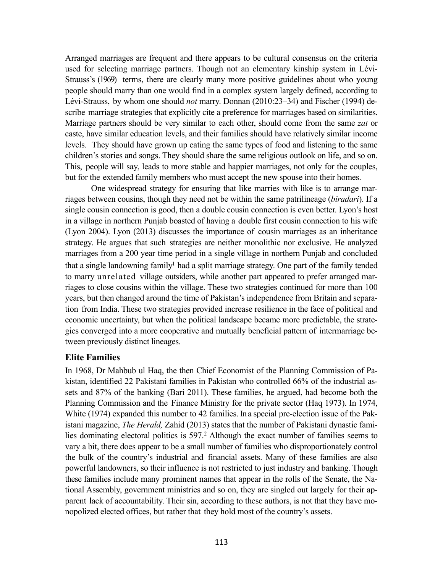Arranged marriages are frequent and there appears to be cultural consensus on the criteria used for selecting marriage partners. Though not an elementary kinship system in Lévi-Strauss's (1969) terms, there are clearly many more positive guidelines about who young people should marry than one would find in a complex system largely defined, according to Lévi-Strauss, by whom one should *not* marry. Donnan (2010:23–34) and Fischer (1994) describe marriage strategies that explicitly cite a preference for marriages based on similarities. Marriage partners should be very similar to each other, should come from the same *zat* or caste, have similar education levels, and their families should have relatively similar income levels. They should have grown up eating the same types of food and listening to the same children's stories and songs. They should share the same religious outlook on life, and so on. This, people will say, leads to more stable and happier marriages, not only for the couples, but for the extended family members who must accept the new spouse into their homes.

One widespread strategy for ensuring that like marries with like is to arrange marriages between cousins, though they need not be within the same patrilineage (*biradari*). If a single cousin connection is good, then a double cousin connection is even better. Lyon's host in a village in northern Punjab boasted of having a double first cousin connection to his wife (Lyon 2004). Lyon (2013) discusses the importance of cousin marriages as an inheritance strategy. He argues that such strategies are neither monolithic nor exclusive. He analyzed marriages from a 200 year time period in a single village in northern Punjab and concluded that a single landowning family<sup>1</sup> had a split marriage strategy. One part of the family tended to marry unrelated village outsiders, while another part appeared to prefer arranged marriages to close cousins within the village. These two strategies continued for more than 100 years, but then changed around the time of Pakistan's independence from Britain and separation from India. These two strategies provided increase resilience in the face of political and economic uncertainty, but when the political landscape became more predictable, the strategies converged into a more cooperative and mutually beneficial pattern of intermarriage between previously distinct lineages.

# **Elite Families**

<span id="page-4-0"></span>In 1968, Dr Mahbub ul Haq, the then Chief Economist of the Planning Commission of Pakistan, identified 22 Pakistani families in Pakistan who controlled 66% of the industrial assets and 87% of the banking (Bari 2011). These families, he argued, had become both the Planning Commission and the Finance Ministry for the private sector (Haq 1973). In 1974, White (1974) expanded this number to 42 families. In a special pre-election issue of the Pakistani magazine, *The Herald,* Zahid (2013) states that the number of Pakistani dynastic fami-lies dominating electoral politics is 597.<sup>[2](#page-13-0)</sup> Although the exact number of families seems to vary a bit, there does appear to be a small number of families who disproportionately control the bulk of the country's industrial and financial assets. Many of these families are also powerful landowners, so their influence is not restricted to just industry and banking. Though these families include many prominent names that appear in the rolls of the Senate, the National Assembly, government ministries and so on, they are singled out largely for their apparent lack of accountability. Their sin, according to these authors, is not that they have monopolized elected offices, but rather that they hold most of the country's assets.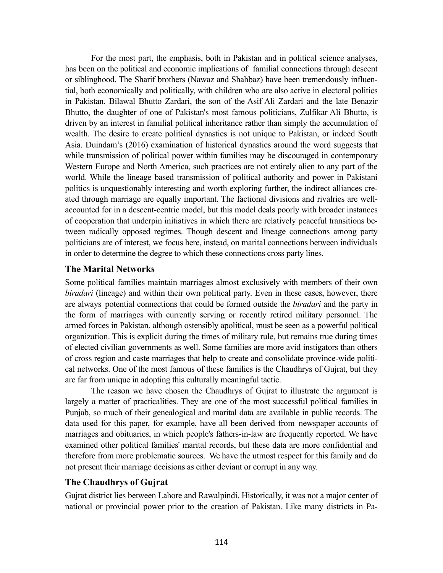For the most part, the emphasis, both in Pakistan and in political science analyses, has been on the political and economic implications of familial connections through descent or siblinghood. The Sharif brothers (Nawaz and Shahbaz) have been tremendously influential, both economically and politically, with children who are also active in electoral politics in Pakistan. Bilawal Bhutto Zardari, the son of the Asif Ali Zardari and the late Benazir Bhutto, the daughter of one of Pakistan's most famous politicians, Zulfikar Ali Bhutto, is driven by an interest in familial political inheritance rather than simply the accumulation of wealth. The desire to create political dynasties is not unique to Pakistan, or indeed South Asia. Duindam's (2016) examination of historical dynasties around the word suggests that while transmission of political power within families may be discouraged in contemporary Western Europe and North America, such practices are not entirely alien to any part of the world. While the lineage based transmission of political authority and power in Pakistani politics is unquestionably interesting and worth exploring further, the indirect alliances created through marriage are equally important. The factional divisions and rivalries are wellaccounted for in a descent-centric model, but this model deals poorly with broader instances of cooperation that underpin initiatives in which there are relatively peaceful transitions between radically opposed regimes. Though descent and lineage connections among party politicians are of interest, we focus here, instead, on marital connections between individuals in order to determine the degree to which these connections cross party lines.

#### **The Marital Networks**

Some political families maintain marriages almost exclusively with members of their own *biradari* (lineage) and within their own political party. Even in these cases, however, there are always potential connections that could be formed outside the *biradari* and the party in the form of marriages with currently serving or recently retired military personnel. The armed forces in Pakistan, although ostensibly apolitical, must be seen as a powerful political organization. This is explicit during the times of military rule, but remains true during times of elected civilian governments as well. Some families are more avid instigators than others of cross region and caste marriages that help to create and consolidate province-wide political networks. One of the most famous of these families is the Chaudhrys of Gujrat, but they are far from unique in adopting this culturally meaningful tactic.

The reason we have chosen the Chaudhrys of Gujrat to illustrate the argument is largely a matter of practicalities. They are one of the most successful political families in Punjab, so much of their genealogical and marital data are available in public records. The data used for this paper, for example, have all been derived from newspaper accounts of marriages and obituaries, in which people's fathers-in-law are frequently reported. We have examined other political families' marital records, but these data are more confidential and therefore from more problematic sources. We have the utmost respect for this family and do not present their marriage decisions as either deviant or corrupt in any way.

# **The Chaudhrys of Gujrat**

Gujrat district lies between Lahore and Rawalpindi. Historically, it was not a major center of national or provincial power prior to the creation of Pakistan. Like many districts in Pa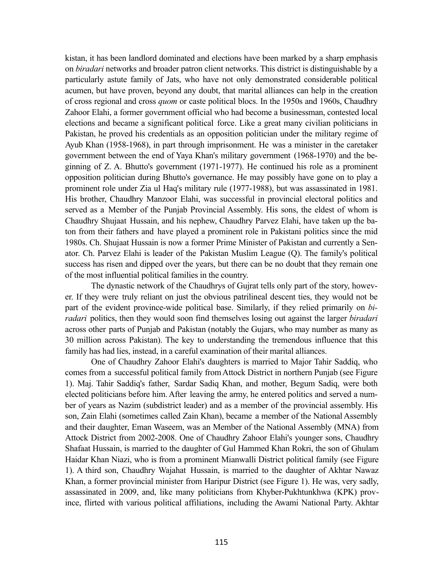kistan, it has been landlord dominated and elections have been marked by a sharp emphasis on *biradari* networks and broader patron client networks. This district is distinguishable by a particularly astute family of Jats, who have not only demonstrated considerable political acumen, but have proven, beyond any doubt, that marital alliances can help in the creation of cross regional and cross *quom* or caste political blocs. In the 1950s and 1960s, Chaudhry Zahoor Elahi, a former government official who had become a businessman, contested local elections and became a significant political force. Like a great many civilian politicians in Pakistan, he proved his credentials as an opposition politician under the military regime of Ayub Khan (1958-1968), in part through imprisonment. He was a minister in the caretaker government between the end of Yaya Khan's military government (1968-1970) and the beginning of Z. A. Bhutto's government (1971-1977). He continued his role as a prominent opposition politician during Bhutto's governance. He may possibly have gone on to play a prominent role under Zia ul Haq's military rule (1977-1988), but was assassinated in 1981. His brother, Chaudhry Manzoor Elahi, was successful in provincial electoral politics and served as a Member of the Punjab Provincial Assembly. His sons, the eldest of whom is Chaudhry Shujaat Hussain, and his nephew, Chaudhry Parvez Elahi, have taken up the baton from their fathers and have played a prominent role in Pakistani politics since the mid 1980s. Ch. Shujaat Hussain is now a former Prime Minister of Pakistan and currently a Senator. Ch. Parvez Elahi is leader of the Pakistan Muslim League (Q). The family's political success has risen and dipped over the years, but there can be no doubt that they remain one of the most influential political families in the country.

The dynastic network of the Chaudhrys of Gujrat tells only part of the story, however. If they were truly reliant on just the obvious patrilineal descent ties, they would not be part of the evident province-wide political base. Similarly, if they relied primarily on *biradari* politics, then they would soon find themselves losing out against the larger *biradari* across other parts of Punjab and Pakistan (notably the Gujars, who may number as many as 30 million across Pakistan). The key to understanding the tremendous influence that this family has had lies, instead, in a careful examination of their marital alliances.

One of Chaudhry Zahoor Elahi's daughters is married to Major Tahir Saddiq, who comes from a successful political family fromAttock District in northern Punjab (see Figure 1). Maj. Tahir Saddiq's father, Sardar Sadiq Khan, and mother, Begum Sadiq, were both elected politicians before him.After leaving the army, he entered politics and served a number of years as Nazim (subdistrict leader) and as a member of the provincial assembly. His son, Zain Elahi (sometimes called Zain Khan), became a member of the National Assembly and their daughter, Eman Waseem, was an Member of the National Assembly (MNA) from Attock District from 2002-2008. One of Chaudhry Zahoor Elahi's younger sons, Chaudhry Shafaat Hussain, is married to the daughter of Gul Hammed Khan Rokri, the son of Ghulam Haidar Khan Niazi, who is from a prominent Mianwalli District political family (see Figure 1). A third son, Chaudhry Wajahat Hussain, is married to the daughter of Akhtar Nawaz Khan, a former provincial minister from Haripur District (see Figure 1). He was, very sadly, assassinated in 2009, and, like many politicians from Khyber-Pukhtunkhwa (KPK) province, flirted with various political affiliations, including the Awami National Party. Akhtar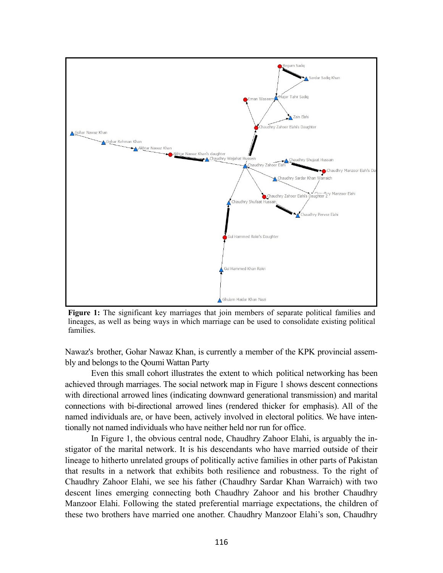

**Figure 1:** The significant key marriages that join members of separate political families and lineages, as well as being ways in which marriage can be used to consolidate existing political families.

Nawaz's brother, Gohar Nawaz Khan, is currently a member of the KPK provincial assembly and belongs to the Qoumi Wattan Party

Even this small cohort illustrates the extent to which political networking has been achieved through marriages. The social network map in Figure 1 shows descent connections with directional arrowed lines (indicating downward generational transmission) and marital connections with bi-directional arrowed lines (rendered thicker for emphasis). All of the named individuals are, or have been, actively involved in electoral politics. We have intentionally not named individuals who have neither held nor run for office.

In Figure 1, the obvious central node, Chaudhry Zahoor Elahi, is arguably the instigator of the marital network. It is his descendants who have married outside of their lineage to hitherto unrelated groups of politically active families in other parts of Pakistan that results in a network that exhibits both resilience and robustness. To the right of Chaudhry Zahoor Elahi, we see his father (Chaudhry Sardar Khan Warraich) with two descent lines emerging connecting both Chaudhry Zahoor and his brother Chaudhry Manzoor Elahi. Following the stated preferential marriage expectations, the children of these two brothers have married one another. Chaudhry Manzoor Elahi's son, Chaudhry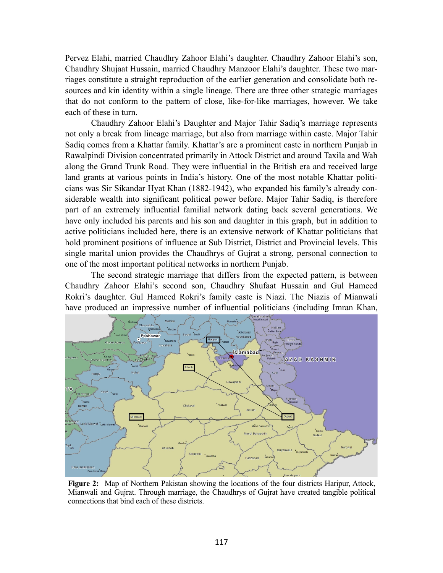Pervez Elahi, married Chaudhry Zahoor Elahi's daughter. Chaudhry Zahoor Elahi's son, Chaudhry Shujaat Hussain, married Chaudhry Manzoor Elahi's daughter. These two marriages constitute a straight reproduction of the earlier generation and consolidate both resources and kin identity within a single lineage. There are three other strategic marriages that do not conform to the pattern of close, like-for-like marriages, however. We take each of these in turn.

Chaudhry Zahoor Elahi's Daughter and Major Tahir Sadiq's marriage represents not only a break from lineage marriage, but also from marriage within caste. Major Tahir Sadiq comes from a Khattar family. Khattar's are a prominent caste in northern Punjab in Rawalpindi Division concentrated primarily in Attock District and around Taxila and Wah along the Grand Trunk Road. They were influential in the British era and received large land grants at various points in India's history. One of the most notable Khattar politicians was Sir Sikandar Hyat Khan (1882-1942), who expanded his family's already considerable wealth into significant political power before. Major Tahir Sadiq, is therefore part of an extremely influential familial network dating back several generations. We have only included his parents and his son and daughter in this graph, but in addition to active politicians included here, there is an extensive network of Khattar politicians that hold prominent positions of influence at Sub District, District and Provincial levels. This single marital union provides the Chaudhrys of Gujrat a strong, personal connection to one of the most important political networks in northern Punjab.

The second strategic marriage that differs from the expected pattern, is between Chaudhry Zahoor Elahi's second son, Chaudhry Shufaat Hussain and Gul Hameed Rokri's daughter. Gul Hameed Rokri's family caste is Niazi. The Niazis of Mianwali have produced an impressive number of influential politicians (including Imran Khan,



**Figure 2:** Map of Northern Pakistan showing the locations of the four districts Haripur, Attock, Mianwali and Gujrat. Through marriage, the Chaudhrys of Gujrat have created tangible political connections that bind each of these districts.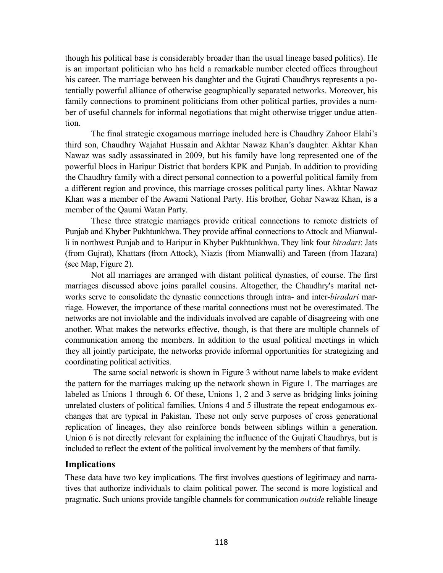though his political base is considerably broader than the usual lineage based politics). He is an important politician who has held a remarkable number elected offices throughout his career. The marriage between his daughter and the Gujrati Chaudhrys represents a potentially powerful alliance of otherwise geographically separated networks. Moreover, his family connections to prominent politicians from other political parties, provides a number of useful channels for informal negotiations that might otherwise trigger undue attention.

The final strategic exogamous marriage included here is Chaudhry Zahoor Elahi's third son, Chaudhry Wajahat Hussain and Akhtar Nawaz Khan's daughter. Akhtar Khan Nawaz was sadly assassinated in 2009, but his family have long represented one of the powerful blocs in Haripur District that borders KPK and Punjab. In addition to providing the Chaudhry family with a direct personal connection to a powerful political family from a different region and province, this marriage crosses political party lines. Akhtar Nawaz Khan was a member of the Awami National Party. His brother, Gohar Nawaz Khan, is a member of the Qaumi Watan Party.

These three strategic marriages provide critical connections to remote districts of Punjab and Khyber Pukhtunkhwa. They provide affinal connections to Attock and Mianwalli in northwest Punjab and to Haripur in Khyber Pukhtunkhwa. They link four *biradari*: Jats (from Gujrat), Khattars (from Attock), Niazis (from Mianwalli) and Tareen (from Hazara) (see Map, Figure 2).

Not all marriages are arranged with distant political dynasties, of course. The first marriages discussed above joins parallel cousins. Altogether, the Chaudhry's marital networks serve to consolidate the dynastic connections through intra- and inter-*biradari* marriage. However, the importance of these marital connections must not be overestimated. The networks are not inviolable and the individuals involved are capable of disagreeing with one another. What makes the networks effective, though, is that there are multiple channels of communication among the members. In addition to the usual political meetings in which they all jointly participate, the networks provide informal opportunities for strategizing and coordinating political activities.

 The same social network is shown in Figure 3 without name labels to make evident the pattern for the marriages making up the network shown in Figure 1. The marriages are labeled as Unions 1 through 6. Of these, Unions 1, 2 and 3 serve as bridging links joining unrelated clusters of political families. Unions 4 and 5 illustrate the repeat endogamous exchanges that are typical in Pakistan. These not only serve purposes of cross generational replication of lineages, they also reinforce bonds between siblings within a generation. Union 6 is not directly relevant for explaining the influence of the Gujrati Chaudhrys, but is included to reflect the extent of the political involvement by the members of that family.

# **Implications**

These data have two key implications. The first involves questions of legitimacy and narratives that authorize individuals to claim political power. The second is more logistical and pragmatic. Such unions provide tangible channels for communication *outside* reliable lineage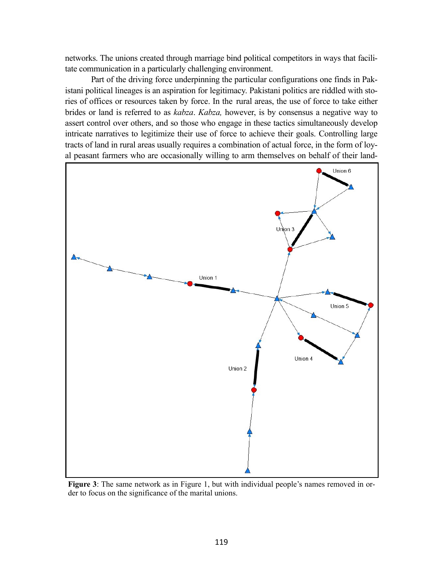networks. The unions created through marriage bind political competitors in ways that facilitate communication in a particularly challenging environment.

Part of the driving force underpinning the particular configurations one finds in Pakistani political lineages is an aspiration for legitimacy. Pakistani politics are riddled with stories of offices or resources taken by force. In the rural areas, the use of force to take either brides or land is referred to as *kabza*. *Kabza,* however, is by consensus a negative way to assert control over others, and so those who engage in these tactics simultaneously develop intricate narratives to legitimize their use of force to achieve their goals. Controlling large tracts of land in rural areas usually requires a combination of actual force, in the form of loyal peasant farmers who are occasionally willing to arm themselves on behalf of their land-



**Figure 3**: The same network as in Figure 1, but with individual people's names removed in order to focus on the significance of the marital unions.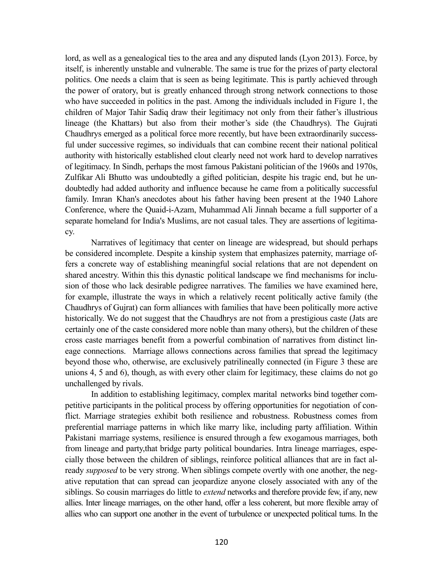lord, as well as a genealogical ties to the area and any disputed lands (Lyon 2013). Force, by itself, is inherently unstable and vulnerable. The same is true for the prizes of party electoral politics. One needs a claim that is seen as being legitimate. This is partly achieved through the power of oratory, but is greatly enhanced through strong network connections to those who have succeeded in politics in the past. Among the individuals included in Figure 1, the children of Major Tahir Sadiq draw their legitimacy not only from their father's illustrious lineage (the Khattars) but also from their mother's side (the Chaudhrys). The Gujrati Chaudhrys emerged as a political force more recently, but have been extraordinarily successful under successive regimes, so individuals that can combine recent their national political authority with historically established clout clearly need not work hard to develop narratives of legitimacy. In Sindh, perhaps the most famous Pakistani politician of the 1960s and 1970s, Zulfikar Ali Bhutto was undoubtedly a gifted politician, despite his tragic end, but he undoubtedly had added authority and influence because he came from a politically successful family. Imran Khan's anecdotes about his father having been present at the 1940 Lahore Conference, where the Quaid-i-Azam, Muhammad Ali Jinnah became a full supporter of a separate homeland for India's Muslims, are not casual tales. They are assertions of legitimacy.

Narratives of legitimacy that center on lineage are widespread, but should perhaps be considered incomplete. Despite a kinship system that emphasizes paternity, marriage offers a concrete way of establishing meaningful social relations that are not dependent on shared ancestry. Within this this dynastic political landscape we find mechanisms for inclusion of those who lack desirable pedigree narratives. The families we have examined here, for example, illustrate the ways in which a relatively recent politically active family (the Chaudhrys of Gujrat) can form alliances with families that have been politically more active historically. We do not suggest that the Chaudhrys are not from a prestigious caste (Jats are certainly one of the caste considered more noble than many others), but the children of these cross caste marriages benefit from a powerful combination of narratives from distinct lineage connections. Marriage allows connections across families that spread the legitimacy beyond those who, otherwise, are exclusively patrilineally connected (in Figure 3 these are unions 4, 5 and 6), though, as with every other claim for legitimacy, these claims do not go unchallenged by rivals.

In addition to establishing legitimacy, complex marital networks bind together competitive participants in the political process by offering opportunities for negotiation of conflict. Marriage strategies exhibit both resilience and robustness. Robustness comes from preferential marriage patterns in which like marry like, including party affiliation. Within Pakistani marriage systems, resilience is ensured through a few exogamous marriages, both from lineage and party,that bridge party political boundaries. Intra lineage marriages, especially those between the children of siblings, reinforce political alliances that are in fact already *supposed* to be very strong. When siblings compete overtly with one another, the negative reputation that can spread can jeopardize anyone closely associated with any of the siblings. So cousin marriages do little to *extend* networks and therefore provide few, if any, new allies. Inter lineage marriages, on the other hand, offer a less coherent, but more flexible array of allies who can support one another in the event of turbulence or unexpected political turns. In the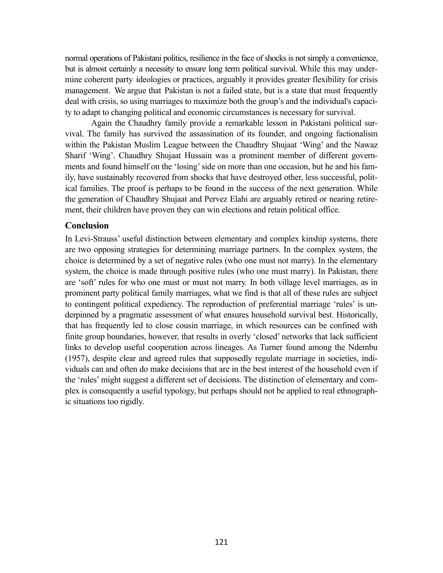normal operations of Pakistani politics, resilience in the face of shocks is not simply a convenience, but is almost certainly a necessity to ensure long term political survival. While this may undermine coherent party ideologies or practices, arguably it provides greater flexibility for crisis management. We argue that Pakistan is not a failed state, but is a state that must frequently deal with crisis, so using marriages to maximize both the group's and the individual's capacity to adapt to changing political and economic circumstances is necessary for survival.

Again the Chaudhry family provide a remarkable lesson in Pakistani political survival. The family has survived the assassination of its founder, and ongoing factionalism within the Pakistan Muslim League between the Chaudhry Shujaat 'Wing' and the Nawaz Sharif 'Wing'. Chaudhry Shujaat Hussain was a prominent member of different governments and found himself on the 'losing' side on more than one occasion, but he and his family, have sustainably recovered from shocks that have destroyed other, less successful, political families. The proof is perhaps to be found in the success of the next generation. While the generation of Chaudhry Shujaat and Pervez Elahi are arguably retired or nearing retirement, their children have proven they can win elections and retain political office.

# **Conclusion**

In Levi-Strauss' useful distinction between elementary and complex kinship systems, there are two opposing strategies for determining marriage partners. In the complex system, the choice is determined by a set of negative rules (who one must not marry). In the elementary system, the choice is made through positive rules (who one must marry). In Pakistan, there are 'soft' rules for who one must or must not marry. In both village level marriages, as in prominent party political family marriages, what we find is that all of these rules are subject to contingent political expediency. The reproduction of preferential marriage 'rules' is underpinned by a pragmatic assessment of what ensures household survival best. Historically, that has frequently led to close cousin marriage, in which resources can be confined with finite group boundaries, however, that results in overly 'closed' networks that lack sufficient links to develop useful cooperation across lineages. As Turner found among the Ndembu (1957), despite clear and agreed rules that supposedly regulate marriage in societies, individuals can and often do make decisions that are in the best interest of the household even if the 'rules' might suggest a different set of decisions. The distinction of elementary and complex is consequently a useful typology, but perhaps should not be applied to real ethnographic situations too rigidly.